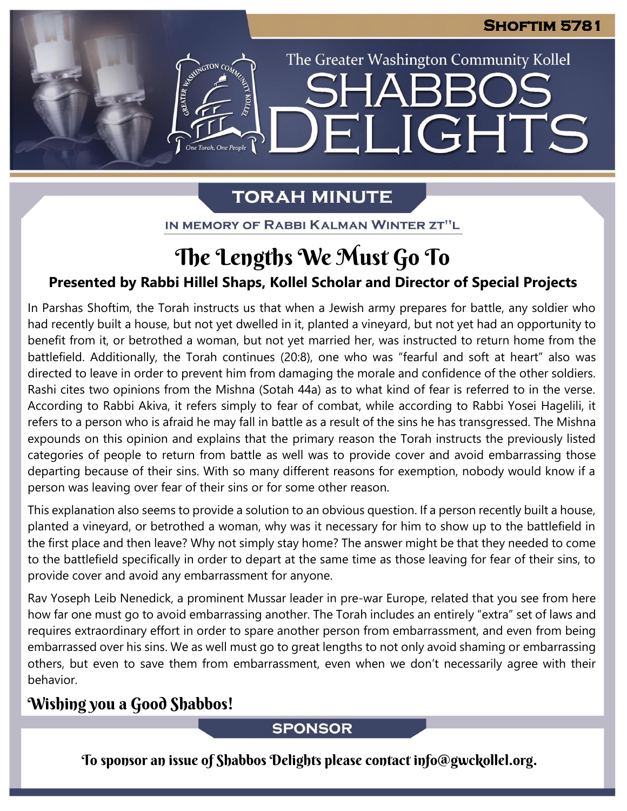The Greater Washington Community Kollel

IGHTS

## **TORAH MINUTE**

EI

EMERGION CON

IN MEMORY OF RABBI KALMAN WINTER ZT"L

# The Lengths We Must Go To

## **Presented by Rabbi Hillel Shaps, Kollel Scholar and Director of Special Projects**

In Parshas Shoftim, the Torah instructs us that when a Jewish army prepares for battle, any soldier who had recently built a house, but not yet dwelled in it, planted a vineyard, but not yet had an opportunity to benefit from it, or betrothed a woman, but not yet married her, was instructed to return home from the battlefield. Additionally, the Torah continues (20:8), one who was "fearful and soft at heart" also was directed to leave in order to prevent him from damaging the morale and confidence of the other soldiers. Rashi cites two opinions from the Mishna (Sotah 44a) as to what kind of fear is referred to in the verse. According to Rabbi Akiva, it refers simply to fear of combat, while according to Rabbi Yosei Hagelili, it refers to a person who is afraid he may fall in battle as a result of the sins he has transgressed. The Mishna expounds on this opinion and explains that the primary reason the Torah instructs the previously listed categories of people to return from battle as well was to provide cover and avoid embarrassing those departing because of their sins. With so many different reasons for exemption, nobody would know if a person was leaving over fear of their sins or for some other reason.

This explanation also seems to provide a solution to an obvious question. If a person recently built a house, planted a vineyard, or betrothed a woman, why was it necessary for him to show up to the battlefield in the first place and then leave? Why not simply stay home? The answer might be that they needed to come to the battlefield specifically in order to depart at the same time as those leaving for fear of their sins, to provide cover and avoid any embarrassment for anyone.

Rav Yoseph Leib Nenedick, a prominent Mussar leader in pre-war Europe, related that you see from here how far one must go to avoid embarrassing another. The Torah includes an entirely "extra" set of laws and requires extraordinary effort in order to spare another person from embarrassment, and even from being embarrassed over his sins. We as well must go to great lengths to not only avoid shaming or embarrassing others, but even to save them from embarrassment, even when we don't necessarily agree with their behavior.

## Wishing you a Good Shabbos!

### **SPONSOR**

To sponsor an issue of Shabbos Delights please contact info@gwckollel.org.